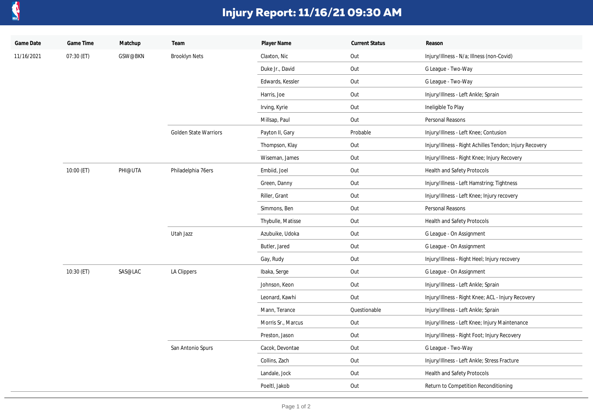

## **Injury Report: 11/16/21 09:30 AM**

| Game Date  | Game Time  | Matchup | Team                         | Player Name        | <b>Current Status</b> | Reason                                                  |
|------------|------------|---------|------------------------------|--------------------|-----------------------|---------------------------------------------------------|
| 11/16/2021 | 07:30 (ET) | GSW@BKN | <b>Brooklyn Nets</b>         | Claxton, Nic       | Out                   | Injury/Illness - N/a; Illness (non-Covid)               |
|            |            |         |                              | Duke Jr., David    | Out                   | G League - Two-Way                                      |
|            |            |         |                              | Edwards, Kessler   | Out                   | G League - Two-Way                                      |
|            |            |         |                              | Harris, Joe        | Out                   | Injury/Illness - Left Ankle; Sprain                     |
|            |            |         |                              | Irving, Kyrie      | Out                   | Ineligible To Play                                      |
|            |            |         |                              | Millsap, Paul      | Out                   | Personal Reasons                                        |
|            |            |         | <b>Golden State Warriors</b> | Payton II, Gary    | Probable              | Injury/Illness - Left Knee; Contusion                   |
|            |            |         |                              | Thompson, Klay     | Out                   | Injury/Illness - Right Achilles Tendon; Injury Recovery |
|            |            |         |                              | Wiseman, James     | Out                   | Injury/Illness - Right Knee; Injury Recovery            |
|            | 10:00 (ET) | PHI@UTA | Philadelphia 76ers           | Embiid, Joel       | Out                   | Health and Safety Protocols                             |
|            |            |         |                              | Green, Danny       | Out                   | Injury/Illness - Left Hamstring; Tightness              |
|            |            |         |                              | Riller, Grant      | Out                   | Injury/Illness - Left Knee; Injury recovery             |
|            |            |         |                              | Simmons, Ben       | Out                   | Personal Reasons                                        |
|            |            |         |                              | Thybulle, Matisse  | Out                   | Health and Safety Protocols                             |
|            |            |         | Utah Jazz                    | Azubuike, Udoka    | Out                   | G League - On Assignment                                |
|            |            |         |                              | Butler, Jared      | Out                   | G League - On Assignment                                |
|            |            |         |                              | Gay, Rudy          | Out                   | Injury/Illness - Right Heel; Injury recovery            |
|            | 10:30 (ET) | SAS@LAC | <b>LA Clippers</b>           | Ibaka, Serge       | Out                   | G League - On Assignment                                |
|            |            |         |                              | Johnson, Keon      | Out                   | Injury/Illness - Left Ankle; Sprain                     |
|            |            |         |                              | Leonard, Kawhi     | Out                   | Injury/Illness - Right Knee; ACL - Injury Recovery      |
|            |            |         |                              | Mann, Terance      | Questionable          | Injury/Illness - Left Ankle; Sprain                     |
|            |            |         |                              | Morris Sr., Marcus | Out                   | Injury/Illness - Left Knee; Injury Maintenance          |
|            |            |         |                              | Preston, Jason     | Out                   | Injury/Illness - Right Foot; Injury Recovery            |
|            |            |         | San Antonio Spurs            | Cacok, Devontae    | Out                   | G League - Two-Way                                      |
|            |            |         |                              | Collins, Zach      | Out                   | Injury/Illness - Left Ankle; Stress Fracture            |
|            |            |         |                              | Landale, Jock      | Out                   | Health and Safety Protocols                             |
|            |            |         |                              | Poeltl, Jakob      | Out                   | Return to Competition Reconditioning                    |
|            |            |         |                              |                    |                       |                                                         |